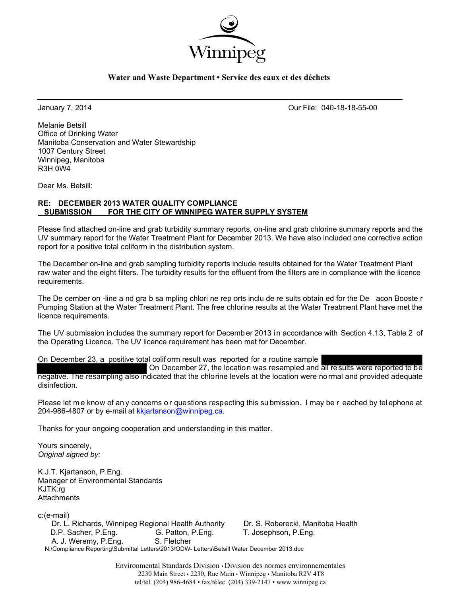

#### **Water and Waste Department • Service des eaux et des déchets**

January 7, 2014 Our File: 040-18-18-55-00

Melanie Betsill Office of Drinking Water Manitoba Conservation and Water Stewardship 1007 Century Street Winnipeg, Manitoba R3H 0W4

Dear Ms. Betsill:

#### **RE: DECEMBER 2013 WATER QUALITY COMPLIANCE SUBMISSION FOR THE CITY OF WINNIPEG WATER SUPPLY SYSTEM**

Please find attached on-line and grab turbidity summary reports, on-line and grab chlorine summary reports and the UV summary report for the Water Treatment Plant for December 2013. We have also included one corrective action report for a positive total coliform in the distribution system.

The December on-line and grab sampling turbidity reports include results obtained for the Water Treatment Plant raw water and the eight filters. The turbidity results for the effluent from the filters are in compliance with the licence requirements.

The De cember on -line a nd gra b sa mpling chlori ne rep orts inclu de re sults obtain ed for the De acon Booste r Pumping Station at the Water Treatment Plant. The free chlorine results at the Water Treatment Plant have met the licence requirements.

The UV submission includes the summary report for Decemb er 2013 in accordance with Section 4.13, Table 2 of the Operating Licence. The UV licence requirement has been met for December.

On December 23, a positive total colif orm result was reported for a routine sample

 On December 27, the location was resampled and all results were reported to be negative. The resampling also indicated that the chlorine levels at the location were normal and provided adequate disinfection.

Please let me know of an y concerns or questions respecting this su bmission. I may be r eached by telephone at 204-986-4807 or by e-mail at kkjartanson@winnipeg.ca.

Thanks for your ongoing cooperation and understanding in this matter.

Yours sincerely, *Original signed by:* 

K.J.T. Kjartanson, P.Eng. Manager of Environmental Standards KJTK:rg **Attachments** 

c:(e-mail)

 Dr. L. Richards, Winnipeg Regional Health Authority Dr. S. Roberecki, Manitoba Health D.P. Sacher, P.Eng. G. Patton, P.Eng. T. Josephson, P.Eng. A. J. Weremy, P.Eng. S. Fletcher N:\Compliance Reporting\Submittal Letters\2013\ODW- Letters\Betsill Water December 2013.doc

> Environmental Standards Division • Division des normes environnementales 2230 Main Street • 2230, Rue Main • Winnipeg • Manitoba R2V 4T8 tel/tél. (204) 986-4684 • fax/télec. (204) 339-2147 • www.winnipeg.ca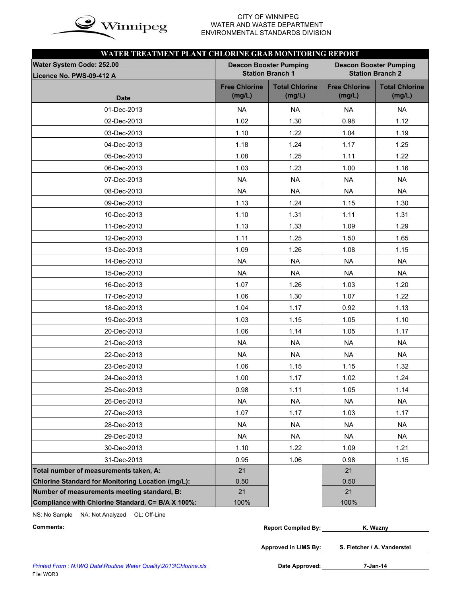

# WATER AND WASTE DEPARTMENT ENVIRONMENTAL STANDARDS DIVISION

|                                                          | WATER TREATMENT PLANT CHLORINE GRAB MONITORING REPORT<br><b>Deacon Booster Pumping</b><br><b>Deacon Booster Pumping</b> |                                 |                                |                                 |  |  |  |  |  |  |  |  |  |  |
|----------------------------------------------------------|-------------------------------------------------------------------------------------------------------------------------|---------------------------------|--------------------------------|---------------------------------|--|--|--|--|--|--|--|--|--|--|
| Water System Code: 252.00<br>Licence No. PWS-09-412 A    |                                                                                                                         | <b>Station Branch 1</b>         |                                | <b>Station Branch 2</b>         |  |  |  |  |  |  |  |  |  |  |
| <b>Date</b>                                              | <b>Free Chlorine</b><br>(mg/L)                                                                                          | <b>Total Chlorine</b><br>(mg/L) | <b>Free Chlorine</b><br>(mg/L) | <b>Total Chlorine</b><br>(mg/L) |  |  |  |  |  |  |  |  |  |  |
| 01-Dec-2013                                              | <b>NA</b>                                                                                                               | NA.                             | NA                             | NA                              |  |  |  |  |  |  |  |  |  |  |
| 02-Dec-2013                                              | 1.02                                                                                                                    | 1.30                            | 0.98                           | 1.12                            |  |  |  |  |  |  |  |  |  |  |
| 03-Dec-2013                                              | 1.10                                                                                                                    | 1.22                            | 1.04                           | 1.19                            |  |  |  |  |  |  |  |  |  |  |
| 04-Dec-2013                                              | 1.18                                                                                                                    | 1.24                            | 1.17                           | 1.25                            |  |  |  |  |  |  |  |  |  |  |
| 05-Dec-2013                                              | 1.08                                                                                                                    | 1.25                            | 1.11                           | 1.22                            |  |  |  |  |  |  |  |  |  |  |
| 06-Dec-2013                                              | 1.03                                                                                                                    | 1.23                            | 1.00                           | 1.16                            |  |  |  |  |  |  |  |  |  |  |
| 07-Dec-2013                                              | <b>NA</b>                                                                                                               | <b>NA</b>                       | <b>NA</b>                      | <b>NA</b>                       |  |  |  |  |  |  |  |  |  |  |
| 08-Dec-2013                                              | <b>NA</b>                                                                                                               | <b>NA</b>                       | <b>NA</b>                      | <b>NA</b>                       |  |  |  |  |  |  |  |  |  |  |
| 09-Dec-2013                                              | 1.13                                                                                                                    | 1.24                            | 1.15                           | 1.30                            |  |  |  |  |  |  |  |  |  |  |
| 10-Dec-2013                                              | 1.10                                                                                                                    | 1.31                            | 1.11                           | 1.31                            |  |  |  |  |  |  |  |  |  |  |
| 11-Dec-2013                                              | 1.13                                                                                                                    | 1.33                            | 1.09                           | 1.29                            |  |  |  |  |  |  |  |  |  |  |
| 12-Dec-2013                                              | 1.11                                                                                                                    | 1.25                            | 1.50                           | 1.65                            |  |  |  |  |  |  |  |  |  |  |
| 13-Dec-2013                                              | 1.09                                                                                                                    | 1.26                            | 1.08                           | 1.15                            |  |  |  |  |  |  |  |  |  |  |
| 14-Dec-2013                                              | <b>NA</b>                                                                                                               | <b>NA</b>                       | <b>NA</b>                      | <b>NA</b>                       |  |  |  |  |  |  |  |  |  |  |
| 15-Dec-2013                                              | <b>NA</b>                                                                                                               | <b>NA</b>                       | <b>NA</b>                      | <b>NA</b>                       |  |  |  |  |  |  |  |  |  |  |
| 16-Dec-2013                                              | 1.07                                                                                                                    | 1.26                            | 1.03                           | 1.20                            |  |  |  |  |  |  |  |  |  |  |
| 17-Dec-2013                                              | 1.06                                                                                                                    | 1.30                            | 1.07                           | 1.22                            |  |  |  |  |  |  |  |  |  |  |
| 18-Dec-2013                                              | 1.04                                                                                                                    | 1.17                            | 0.92                           | 1.13                            |  |  |  |  |  |  |  |  |  |  |
| 19-Dec-2013                                              | 1.03                                                                                                                    | 1.15                            | 1.05                           | 1.10                            |  |  |  |  |  |  |  |  |  |  |
| 20-Dec-2013                                              | 1.06                                                                                                                    | 1.14                            | 1.05                           | 1.17                            |  |  |  |  |  |  |  |  |  |  |
| 21-Dec-2013                                              | <b>NA</b>                                                                                                               | <b>NA</b>                       | <b>NA</b>                      | <b>NA</b>                       |  |  |  |  |  |  |  |  |  |  |
| 22-Dec-2013                                              | <b>NA</b>                                                                                                               | <b>NA</b>                       | <b>NA</b>                      | <b>NA</b>                       |  |  |  |  |  |  |  |  |  |  |
| 23-Dec-2013                                              | 1.06                                                                                                                    | 1.15                            | 1.15                           | 1.32                            |  |  |  |  |  |  |  |  |  |  |
| 24-Dec-2013                                              | 1.00                                                                                                                    | 1.17                            | 1.02                           | 1.24                            |  |  |  |  |  |  |  |  |  |  |
| 25-Dec-2013                                              | 0.98                                                                                                                    | 1.11                            | 1.05                           | 1.14                            |  |  |  |  |  |  |  |  |  |  |
| 26-Dec-2013                                              | <b>NA</b>                                                                                                               | <b>NA</b>                       | <b>NA</b>                      | <b>NA</b>                       |  |  |  |  |  |  |  |  |  |  |
| 27-Dec-2013                                              | 1.07                                                                                                                    | 1.17                            | 1.03                           | 1.17                            |  |  |  |  |  |  |  |  |  |  |
| 28-Dec-2013                                              | <b>NA</b>                                                                                                               | <b>NA</b>                       | <b>NA</b>                      | <b>NA</b>                       |  |  |  |  |  |  |  |  |  |  |
| 29-Dec-2013                                              | <b>NA</b>                                                                                                               | <b>NA</b>                       | <b>NA</b>                      | <b>NA</b>                       |  |  |  |  |  |  |  |  |  |  |
| 30-Dec-2013                                              | 1.10                                                                                                                    | 1.22                            | 1.09                           | 1.21                            |  |  |  |  |  |  |  |  |  |  |
| 31-Dec-2013                                              | 0.95                                                                                                                    | 1.06                            | 0.98                           | 1.15                            |  |  |  |  |  |  |  |  |  |  |
| Total number of measurements taken, A:                   | 21                                                                                                                      |                                 | 21                             |                                 |  |  |  |  |  |  |  |  |  |  |
| <b>Chlorine Standard for Monitoring Location (mg/L):</b> | 0.50                                                                                                                    |                                 | 0.50                           |                                 |  |  |  |  |  |  |  |  |  |  |
| Number of measurements meeting standard, B:              | 21                                                                                                                      |                                 | 21                             |                                 |  |  |  |  |  |  |  |  |  |  |
| Compliance with Chlorine Standard, C= B/A X 100%:        | 100%                                                                                                                    |                                 | 100%                           |                                 |  |  |  |  |  |  |  |  |  |  |

NS: No Sample NA: Not Analyzed OL: Off-Line

| Comments: | <b>Report Compiled By:</b> | <b>V</b> Waznv |
|-----------|----------------------------|----------------|
|           |                            |                |

**Approved in LIMS By: S. Fletcher / A. Vanderstel**

Date Approved: 7-Jan-14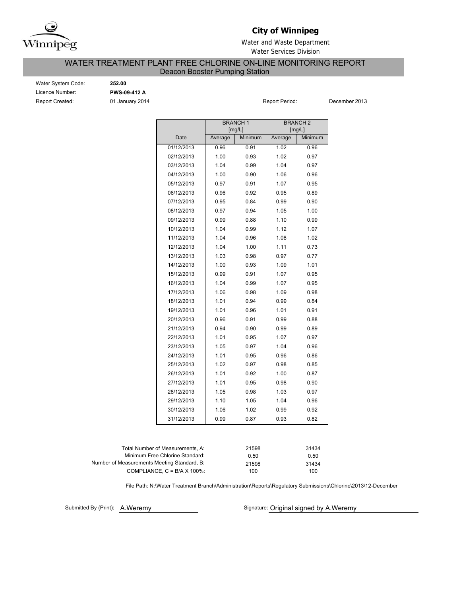

## **City of Winnipeg**

Water and Waste Department Water Services Division

## WATER TREATMENT PLANT FREE CHLORINE ON-LINE MONITORING REPORT

Deacon Booster Pumping Station

| <b>Water System Code</b> |
|--------------------------|
| Licence Number:          |
| <b>Report Created:</b>   |

e: **252.00** Licence Number: **PWS-09-412 A**

Report Created: 01 January 2014 Report Period: December 2013

|            |         | <b>BRANCH1</b><br>[mg/L] |         | <b>BRANCH<sub>2</sub></b><br>[mg/L] |  |  |
|------------|---------|--------------------------|---------|-------------------------------------|--|--|
| Date       | Average | Minimum                  | Average | Minimum                             |  |  |
| 01/12/2013 | 0.96    | 0.91                     | 1.02    | 0.96                                |  |  |
| 02/12/2013 | 1.00    | 0.93                     | 1.02    | 0.97                                |  |  |
| 03/12/2013 | 1.04    | 0.99                     | 1.04    | 0.97                                |  |  |
| 04/12/2013 | 1.00    | 0.90                     | 1.06    | 0.96                                |  |  |
| 05/12/2013 | 0.97    | 0.91                     | 1.07    | 0.95                                |  |  |
| 06/12/2013 | 0.96    | 0.92                     | 0.95    | 0.89                                |  |  |
| 07/12/2013 | 0.95    | 0.84                     | 0.99    | 0.90                                |  |  |
| 08/12/2013 | 0.97    | 0.94                     | 1.05    | 1.00                                |  |  |
| 09/12/2013 | 0.99    | 0.88                     | 1.10    | 0.99                                |  |  |
| 10/12/2013 | 1.04    | 0.99                     | 1.12    | 1.07                                |  |  |
| 11/12/2013 | 1.04    | 0.96                     | 1.08    | 1.02                                |  |  |
| 12/12/2013 | 1.04    | 1.00                     | 1.11    | 0.73                                |  |  |
| 13/12/2013 | 1.03    | 0.98                     | 0.97    | 0.77                                |  |  |
| 14/12/2013 | 1.00    | 0.93                     | 1.09    | 1.01                                |  |  |
| 15/12/2013 | 0.99    | 0.91                     | 1.07    | 0.95                                |  |  |
| 16/12/2013 | 1.04    | 0.99                     | 1.07    | 0.95                                |  |  |
| 17/12/2013 | 1.06    | 0.98                     | 1.09    | 0.98                                |  |  |
| 18/12/2013 | 1.01    | 0.94                     | 0.99    | 0.84                                |  |  |
| 19/12/2013 | 1.01    | 0.96                     | 1.01    | 0.91                                |  |  |
| 20/12/2013 | 0.96    | 0.91                     | 0.99    | 0.88                                |  |  |
| 21/12/2013 | 0.94    | 0.90                     | 0.99    | 0.89                                |  |  |
| 22/12/2013 | 1.01    | 0.95                     | 1.07    | 0.97                                |  |  |
| 23/12/2013 | 1.05    | 0.97                     | 1.04    | 0.96                                |  |  |
| 24/12/2013 | 1.01    | 0.95                     | 0.96    | 0.86                                |  |  |
| 25/12/2013 | 1.02    | 0.97                     | 0.98    | 0.85                                |  |  |
| 26/12/2013 | 1.01    | 0.92                     | 1.00    | 0.87                                |  |  |
| 27/12/2013 | 1.01    | 0.95                     | 0.98    | 0.90                                |  |  |
| 28/12/2013 | 1.05    | 0.98                     | 1.03    | 0.97                                |  |  |
| 29/12/2013 | 1.10    | 1.05                     | 1.04    | 0.96                                |  |  |
| 30/12/2013 | 1.06    | 1.02                     | 0.99    | 0.92                                |  |  |
| 31/12/2013 | 0.99    | 0.87                     | 0.93    | 0.82                                |  |  |
|            |         |                          |         |                                     |  |  |

| 21598 | 31434 |
|-------|-------|
| 0.50  | 0.50  |
| 21598 | 31434 |
| 100   | 100   |
|       |       |

File Path: N:\Water Treatment Branch\Administration\Reports\Regulatory Submissions\Chlorine\2013\12-December

Submitted By (Print): A.Weremy

Signature: Original signed by A.Weremy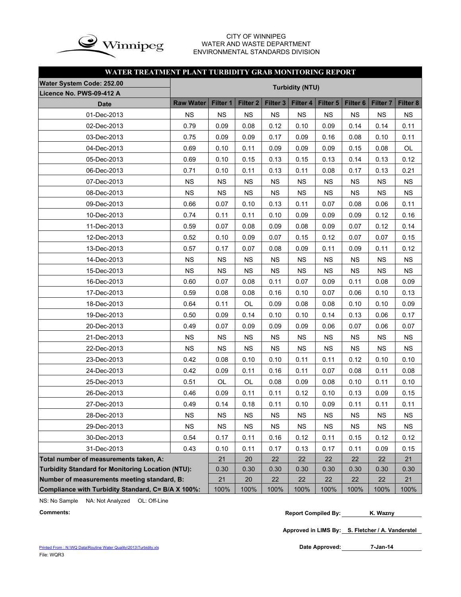

#### CITY OF WINNIPEG WATER AND WASTE DEPARTMENT ENVIRONMENTAL STANDARDS DIVISION

#### **WATER TREATMENT PLANT TURBIDITY GRAB MONITORING REPORT**

| <b>Water System Code: 252.00</b>                         | <b>Turbidity (NTU)</b> |           |                 |                     |             |           |                     |                 |           |  |  |
|----------------------------------------------------------|------------------------|-----------|-----------------|---------------------|-------------|-----------|---------------------|-----------------|-----------|--|--|
| Licence No. PWS-09-412 A                                 |                        |           |                 |                     |             |           |                     |                 |           |  |  |
| <b>Date</b>                                              | <b>Raw Water</b>       | Filter 1  | <b>Filter 2</b> | Filter <sub>3</sub> | Filter 4    | Filter 5  | Filter <sub>6</sub> | <b>Filter 7</b> | Filter 8  |  |  |
| 01-Dec-2013                                              | <b>NS</b>              | <b>NS</b> | <b>NS</b>       | <b>NS</b>           | <b>NS</b>   | <b>NS</b> | <b>NS</b>           | <b>NS</b>       | <b>NS</b> |  |  |
| 02-Dec-2013                                              | 0.79                   | 0.09      | 0.08            | 0.12                | 0.10        | 0.09      | 0.14                | 0.14            | 0.11      |  |  |
| 03-Dec-2013                                              | 0.75                   | 0.09      | 0.09            | 0.17                | 0.09        | 0.16      | 0.08                | 0.10            | 0.11      |  |  |
| 04-Dec-2013                                              | 0.69                   | 0.10      | 0.11            | 0.09                | 0.09        | 0.09      | 0.15                | 0.08            | OL        |  |  |
| 05-Dec-2013                                              | 0.69                   | 0.10      | 0.15            | 0.13                | 0.15        | 0.13      | 0.14                | 0.13            | 0.12      |  |  |
| 06-Dec-2013                                              | 0.71                   | 0.10      | 0.11            | 0.13                | 0.11        | 0.08      | 0.17                | 0.13            | 0.21      |  |  |
| 07-Dec-2013                                              | <b>NS</b>              | <b>NS</b> | <b>NS</b>       | <b>NS</b>           | <b>NS</b>   | <b>NS</b> | <b>NS</b>           | <b>NS</b>       | <b>NS</b> |  |  |
| 08-Dec-2013                                              | <b>NS</b>              | <b>NS</b> | <b>NS</b>       | <b>NS</b>           | <b>NS</b>   | <b>NS</b> | <b>NS</b>           | <b>NS</b>       | <b>NS</b> |  |  |
| 09-Dec-2013                                              | 0.66                   | 0.07      | 0.10            | 0.13                | 0.11        | 0.07      | 0.08                | 0.06            | 0.11      |  |  |
| 10-Dec-2013                                              | 0.74                   | 0.11      | 0.11            | 0.10                | 0.09        | 0.09      | 0.09                | 0.12            | 0.16      |  |  |
| 11-Dec-2013                                              | 0.59                   | 0.07      | 0.08            | 0.09                | 0.08        | 0.09      | 0.07                | 0.12            | 0.14      |  |  |
| 12-Dec-2013                                              | 0.52                   | 0.10      | 0.09            | 0.07                | 0.15        | 0.12      | 0.07                | 0.07            | 0.15      |  |  |
| 13-Dec-2013                                              | 0.57                   | 0.17      | 0.07            | 0.08                | 0.09        | 0.11      | 0.09                | 0.11            | 0.12      |  |  |
| 14-Dec-2013                                              | <b>NS</b>              | <b>NS</b> | <b>NS</b>       | <b>NS</b>           | <b>NS</b>   | <b>NS</b> | <b>NS</b>           | <b>NS</b>       | <b>NS</b> |  |  |
| 15-Dec-2013                                              | <b>NS</b>              | <b>NS</b> | <b>NS</b>       | <b>NS</b>           | <b>NS</b>   | <b>NS</b> | <b>NS</b>           | <b>NS</b>       | <b>NS</b> |  |  |
| 16-Dec-2013                                              | 0.60                   | 0.07      | 0.08            | 0.11                | 0.07        | 0.09      | 0.11                | 0.08            | 0.09      |  |  |
| 17-Dec-2013                                              | 0.59                   | 0.08      | 0.08            | 0.16                | 0.10        | 0.07      | 0.06                | 0.10            | 0.13      |  |  |
| 18-Dec-2013                                              | 0.64                   | 0.11      | OL              | 0.09                | 0.08        | 0.08      | 0.10                | 0.10            | 0.09      |  |  |
| 19-Dec-2013                                              | 0.50                   | 0.09      | 0.14            | 0.10                | 0.10        | 0.14      | 0.13                | 0.06            | 0.17      |  |  |
| 20-Dec-2013                                              | 0.49                   | 0.07      | 0.09            | 0.09                | 0.09        | 0.06      | 0.07                | 0.06            | 0.07      |  |  |
| 21-Dec-2013                                              | <b>NS</b>              | <b>NS</b> | <b>NS</b>       | <b>NS</b>           | <b>NS</b>   | <b>NS</b> | <b>NS</b>           | <b>NS</b>       | <b>NS</b> |  |  |
| 22-Dec-2013                                              | <b>NS</b>              | <b>NS</b> | <b>NS</b>       | <b>NS</b>           | <b>NS</b>   | <b>NS</b> | <b>NS</b>           | <b>NS</b>       | <b>NS</b> |  |  |
| 23-Dec-2013                                              | 0.42                   | 0.08      | 0.10            | 0.10                | 0.11        | 0.11      | 0.12                | 0.10            | 0.10      |  |  |
| 24-Dec-2013                                              | 0.42                   | 0.09      | 0.11            | 0.16                | 0.11        | 0.07      | 0.08                | 0.11            | 0.08      |  |  |
| 25-Dec-2013                                              | 0.51                   | OL        | OL              | 0.08                | 0.09        | 0.08      | 0.10                | 0.11            | 0.10      |  |  |
| 26-Dec-2013                                              | 0.46                   | 0.09      | 0.11            | 0.11                | 0.12        | 0.10      | 0.13                | 0.09            | 0.15      |  |  |
| 27-Dec-2013                                              | 0.49                   | 0.14      | 0.18            | 0.11                | 0.10        | 0.09      | 0.11                | 0.11            | 0.11      |  |  |
| 28-Dec-2013                                              | <b>NS</b>              | <b>NS</b> | NS              | $_{\rm NS}$         | $_{\rm NS}$ | NS        | $_{\rm NS}$         | <b>NS</b>       | <b>NS</b> |  |  |
| 29-Dec-2013                                              | <b>NS</b>              | <b>NS</b> | <b>NS</b>       | <b>NS</b>           | <b>NS</b>   | ΝS        | <b>NS</b>           | <b>NS</b>       | <b>NS</b> |  |  |
| 30-Dec-2013                                              | 0.54                   | 0.17      | 0.11            | 0.16                | 0.12        | 0.11      | 0.15                | 0.12            | 0.12      |  |  |
| 31-Dec-2013                                              | 0.43                   | 0.10      | 0.11            | 0.17                | 0.13        | 0.17      | 0.11                | 0.09            | 0.15      |  |  |
| Total number of measurements taken, A:                   |                        | 21        | 20              | 22                  | 22          | 22        | 22                  | 22              | 21        |  |  |
| <b>Turbidity Standard for Monitoring Location (NTU):</b> |                        | 0.30      | 0.30            | 0.30                | 0.30        | 0.30      | 0.30                | 0.30            | 0.30      |  |  |
| Number of measurements meeting standard, B:              |                        | 21        | 20              | 22                  | 22          | 22        | 22                  | 22              | 21        |  |  |
| Compliance with Turbidity Standard, C= B/A X 100%:       |                        | 100%      | 100%            | 100%                | 100%        | 100%      | 100%                | 100%            | 100%      |  |  |

NS: No Sample NA: Not Analyzed OL: Off-Line

**Approved in LIMS By: S. Fletcher / A. Vanderstel**

**7-Jan-14**

**Comments: Report Compiled By: K. Wazny**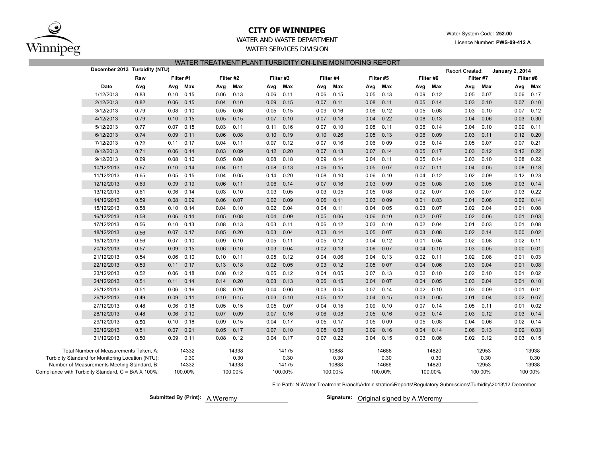

#### **CITY OF WINNIPEG**

Water System Code: **252.00**

Licence Number: **PWS-09-412 A**

#### WATER AND WASTE DEPARTMENTWATER SERVICES DIVISION

|  | WATER TREATMENT PLANT TURBIDITY ON-LINE MONITORING REPORT |  |
|--|-----------------------------------------------------------|--|
|  |                                                           |  |

|                                                     | December 2013 Turbidity (NTU)                     |      |      |                                     |      |         |      |         |       |           |      |           |      |           | Report Created: |           | <b>January 2, 2014</b> |             |  |
|-----------------------------------------------------|---------------------------------------------------|------|------|-------------------------------------|------|---------|------|---------|-------|-----------|------|-----------|------|-----------|-----------------|-----------|------------------------|-------------|--|
|                                                     |                                                   | Raw  |      | Filter #3<br>Filter #1<br>Filter #2 |      |         |      |         |       | Filter #4 |      | Filter #5 |      | Filter #6 |                 | Filter #7 | Filter #8              |             |  |
|                                                     | Date                                              | Avg  | Avg  | Max                                 | Avg  | Max     | Avg  | Max     | Avg   | Max       | Avg  | Max       | Avg  | Max       | Avg             | Max       | Avg                    | Max         |  |
|                                                     | 1/12/2013                                         | 0.83 | 0.10 | 0.15                                | 0.06 | 0.13    | 0.06 | 0.11    | 0 0 6 | 0.15      | 0.05 | 0.13      | 0.09 | 0.12      | 0.05            | 0.07      | 0.06                   | 0.17        |  |
|                                                     | 2/12/2013                                         | 0.82 | 0.06 | 0.15                                | 0.04 | 0.10    | 0.09 | 0.15    | 0 0 7 | 0.11      | 0.08 | 0.11      | 0.05 | 0.14      | 0.03            | 0.10      | 0.07                   | 0.10        |  |
|                                                     | 3/12/2013                                         | 0.79 | 0.08 | 0.10                                | 0.05 | 0.06    | 0.05 | 0.15    | 0 0 9 | 0.16      | 0.06 | 0.12      | 0.05 | 0.08      | 0.03            | 0.10      | 0.07                   | 0.12        |  |
|                                                     | 4/12/2013                                         | 0.79 | 0.10 | 0.15                                | 0.05 | 0.15    | 0.07 | 0.10    | 0 0 7 | 0.18      | 0.04 | 022       | 0.08 | 0.13      | 0.04            | 0.06      | 0.03                   | 0.30        |  |
|                                                     | 5/12/2013                                         | 0.77 | 0.07 | 0.15                                | 0.03 | 0.11    | 0.11 | 0.16    | 0 0 7 | 0.10      | 0.08 | 0.11      | 0.06 | 0.14      | 0.04            | 0.10      | 0.09                   | 0.11        |  |
|                                                     | 6/12/2013                                         | 0.74 | 0.09 | 0.11                                | 0.06 | 0.08    | 0.10 | 0.19    | 0.10  | 0.26      | 0.05 | 0.13      | 0.06 | 0.09      | 0.03            | 0.11      | 0.12                   | 0.20        |  |
|                                                     | 7/12/2013                                         | 0.72 | 0.11 | 0.17                                | 0.04 | 0.11    | 0.07 | 0.12    | 0 0 7 | 0.16      | 0.06 | 009       | 0.08 | 0.14      | 0.05            | 0.07      | 0.07                   | 0.21        |  |
|                                                     | 8/12/2013                                         | 0.71 | 0.06 | 0.14                                | 0.03 | 0.09    | 0.12 | 0.20    | 007   | 0.13      | 0.07 | 0.14      | 0.05 | 0.17      | 0.03            | 0.12      | 0.12                   | 0.22        |  |
|                                                     | 9/12/2013                                         | 0.69 | 0.08 | 0.10                                | 0.05 | 0.08    | 0.08 | 0.18    | 009   | 0.14      | 0.04 | 0.11      | 0.05 | 0.14      | 0.03            | 0.10      | 0.08                   | 0.22        |  |
|                                                     | 10/12/2013                                        | 0.67 | 0.10 | 0.14                                | 0.04 | 0.11    | 0.08 | 0.13    | 0 0 6 | 0.15      | 0.05 | 007       | 0.07 | 0.11      | 0.04            | 0.05      | 0.08                   | 0.18        |  |
|                                                     | 11/12/2013                                        | 0.65 | 0.05 | 0.15                                | 0.04 | 0.05    | 0.14 | 0.20    | 008   | 0.10      | 0.06 | 0.10      | 0.04 | 0.12      | 0.02            | 0.09      | 0.12                   | 0.23        |  |
|                                                     | 12/12/2013                                        | 0.63 | 0.09 | 0.19                                | 0.06 | 0.11    | 0.06 | 0.14    | 007   | 0.16      | 0.03 | 009       | 0.05 | 0.08      | 0.03            | 0.05      | 0.03                   | 0.14        |  |
|                                                     | 13/12/2013                                        | 0.61 | 0.06 | 0.14                                | 0.03 | 0.10    | 0.03 | 0.05    | 003   | 0.05      | 0.05 | 008       | 0.02 | 0.07      | 0.03            | 0.07      | 0.03                   | 0.22        |  |
|                                                     | 14/12/2013                                        | 0.59 | 0.08 | 0.09                                | 0.06 | 0.07    | 0.02 | 0.09    | 006   | 0.11      | 0.03 | 009       | 0.01 | 0.03      | 0.01            | 0.06      | 0.02                   | 0.14        |  |
|                                                     | 15/12/2013                                        | 0.58 | 0.10 | 0.14                                | 0.04 | 0.10    | 0.02 | 0.04    | 004   | 0.11      | 0.04 | 005       | 0.03 | 0.07      | 0.02            | 0.04      | 0.01                   | 0.08        |  |
|                                                     | 16/12/2013                                        | 0.58 | 0.06 | 0.14                                | 0.05 | 0.08    | 0.04 | 0.09    | 0 0 5 | 0.06      | 0.06 | 0.10      | 0.02 | 0.07      | 0.02            | 0.06      | 0.01                   | 0.03        |  |
|                                                     | 17/12/2013                                        | 0.56 | 0.10 | 0.13                                | 0.08 | 0.13    | 0.03 | 0.11    | 0 0 6 | 0.12      | 0.03 | 0.10      | 0.02 | 0.04      | 0.01            | 0.03      | 0.01                   | 0.08        |  |
|                                                     | 18/12/2013                                        | 0.56 | 0.07 | 0.17                                | 0.05 | 0.20    | 0.03 | 0.04    | 0 0 3 | 0.14      | 0.05 | 007       | 0.03 | 0.08      | 0.02            | 0.14      | 0.00                   | 0.02        |  |
|                                                     | 19/12/2013                                        | 0.56 | 0.07 | 0.10                                | 0.09 | 0.10    | 0.05 | 0.11    | 0 0 5 | 0.12      | 0.04 | 0.12      | 0.01 | 0.04      | 0.02            | 0.08      | 0.02                   | 0.11        |  |
|                                                     | 20/12/2013                                        | 0.57 | 0.09 | 0.15                                | 0.06 | 0.16    | 0.03 | 0.04    | 002   | 0.13      | 0.06 | 007       | 0.04 | 0.10      | 0.03            | 0.05      | 0.00                   | 0.01        |  |
|                                                     | 21/12/2013                                        | 0.54 | 0.06 | 0.10                                | 0.10 | 0.11    | 0.05 | 0.12    | 0 0 4 | 0.06      | 0.04 | 0.13      | 0.02 | 0.11      | 0.02            | 0.08      | 0.01                   | 0.03        |  |
|                                                     | 22/12/2013                                        | 0.53 | 0.11 | 0.17                                | 0.13 | 0.18    | 0.02 | 0.05    | 0 0 3 | 0.12      | 0.05 | 007       | 0.04 | 0.06      | 0.03            | 0.04      | 0.01                   | 0.08        |  |
|                                                     | 23/12/2013                                        | 0.52 | 0.06 | 0.18                                | 0.08 | 0.12    | 0.05 | 0.12    | 0 0 4 | 0.05      | 0.07 | 0.13      | 0.02 | 0.10      | 0.02            | 0.10      | 0.01                   | 0.02        |  |
|                                                     | 24/12/2013                                        | 0.51 | 0.11 | 0.14                                | 0.14 | 0.20    | 0.03 | 0.13    | 0 0 6 | 0.15      | 0.04 | 007       | 0.04 | 0.05      | 0.03            | 0.04      | 0.01                   | 0.10        |  |
|                                                     | 25/12/2013                                        | 0.51 | 0.06 | 0.16                                | 0.08 | 0.20    | 0.04 | 0.06    | 0 0 3 | 0.05      | 0.07 | 0.14      | 0.02 | 0.10      | 0.03            | 0.09      | 0.01                   | 0.01        |  |
|                                                     | 26/12/2013                                        | 0.49 | 0.09 | 0.11                                | 0.10 | 0.15    | 0.03 | 0.10    | 0 0 5 | 0.12      | 0.04 | 0.15      | 0.03 | 0.05      | 0.01            | 0.04      | 0.02                   | 0.07        |  |
|                                                     | 27/12/2013                                        | 0.48 | 0.06 | 0.18                                | 0.05 | 0.15    | 0.05 | 0.07    | 0 0 4 | 0.15      | 0.09 | 0.10      | 0.07 | 0.14      | 0.05            | 0.11      | 0.01                   | 0.02        |  |
|                                                     | 28/12/2013                                        | 0.48 | 0.06 | 0.10                                | 0.07 | 0.09    | 0.07 | 0.16    | 006   | 0.08      | 0.05 | 0.16      | 0.03 | 0.14      | 0.03            | 0.12      | 0.03                   | 0.14        |  |
|                                                     | 29/12/2013                                        | 0.50 | 0.10 | 0.18                                | 0.09 | 0.15    | 0.04 | 0.17    | 005   | 0.17      | 0.05 | 009       | 0.05 | 0.08      | 0.04            | 0.06      | 0.02                   | 0.14        |  |
|                                                     | 30/12/2013                                        | 0.51 | 0.07 | 0.21                                | 0.05 | 0.17    | 0.07 | 0.10    | 0 0 5 | 0.08      | 0.09 | 0.16      | 0.04 | 0.14      | 0.06            | 0.13      |                        | $0.02$ 0.03 |  |
|                                                     | 31/12/2013                                        | 0.50 | 0.09 | 0.11                                | 0.08 | 0.12    | 0.04 | 0.17    | 007   | 0.22      | 0.04 | 0.15      | 0.03 | 0.06      | 0.02            | 0.12      | 0.03                   | 0.15        |  |
|                                                     | Total Number of Measurements Taken, A:            |      |      | 14332                               |      | 14338   |      | 14175   |       | 10888     |      | 14686     |      | 14820     |                 | 12953     |                        | 13938       |  |
|                                                     | Turbidity Standard for Monitoring Location (NTU): |      |      | 0.30                                |      | 0.30    |      | 0.30    |       | 0.30      |      | 0.30      |      | 0.30      |                 | 0.30      |                        | 0.30        |  |
|                                                     | Number of Measurements Meeting Standard, B:       |      |      | 14332                               |      | 14338   |      | 14175   |       | 10888     |      | 14686     |      | 14820     |                 | 12953     |                        | 13938       |  |
| Compliance with Turbidity Standard, C = B/A X 100%: |                                                   |      |      | 100.00%                             |      | 100.00% |      | 100.00% |       | 100.00%   |      | 100.00%   |      | 100.00%   |                 | 100 00%   |                        | 100 00%     |  |

File Path: N:\Water Treatment Branch\Administration\Reports\Regulatory Submissions\Turbidity\2013\12-December

**Submitted By (Print):** A. Weremy

Signature: Original signed by A.Weremy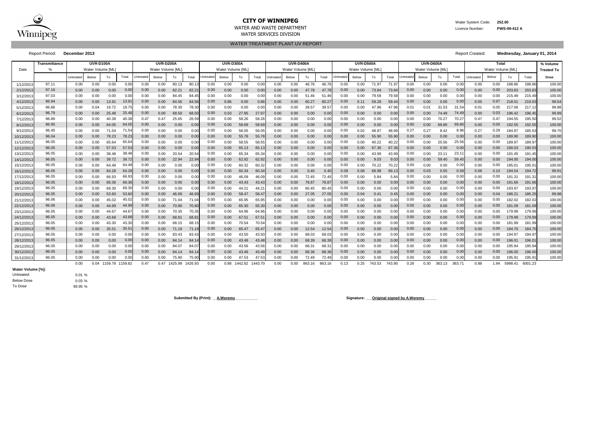

# **CITY OF WINNIPEG** WATER WATER WATER System Code: 252.00

WATER AND WASTE DEPARTMENT **Licence Number:** PWS-09-412 A WATER SERVICES DIVISION

|            | Transmittance |           | <b>UVR-D100A</b>  |         |                   |           | <b>UVR-D200A</b>  |         |                |           | <b>UVR-D300A</b> |                |         |           | <b>UVR-D400A</b>  |        |        | UVR-D500A         |              |        |        | UVR-D600A         |       |        | <b>Total</b>      |           |       |         | % Volume          |        |
|------------|---------------|-----------|-------------------|---------|-------------------|-----------|-------------------|---------|----------------|-----------|------------------|----------------|---------|-----------|-------------------|--------|--------|-------------------|--------------|--------|--------|-------------------|-------|--------|-------------------|-----------|-------|---------|-------------------|--------|
| Date       |               |           | Water Volume [ML] |         |                   |           | Water Volume [ML] |         |                |           | Water Volume IML |                |         |           | Water Volume [ML] |        |        | Water Volume [ML] |              |        |        | Water Volume [ML] |       |        | Water Volume [ML] |           |       |         | <b>Treated To</b> |        |
|            |               | Untreated | Below             | To      | Total             | Jntreatec | Below             | To      | Total          | Jntreateo | Below            | To             | Total   | Jntreated | Below             | To     | Total  | <b>Jntreate</b>   | <b>Below</b> | To     | Total  | <b>Jntreated</b>  | Below | To     | Total             | Untreated | Below | To      | Total             | Dose   |
| 1/12/2013  | 97.11         | 0.00      | 0.00              | 0.00    | 0.00              | 0.00      | 0.00              | 80.13   | 80.1           | 0.00      | 0.00             | 0.00           | 0.00    | 0.00      | 0.00              | 46.76  | 46.76  | 0.00              | 0.00         | 71.97  | 71.97  | 0.00              | 0.00  | 0.00   | 0.00              | 0.00      | 0.00  | 198.86  | 198.86            | 100.00 |
| 2/12/2013  | 97.16         | 0.00      | 0.00              | 0.00    | 0.00              | 0.00      | 0.00              | 82.21   | $82.2^{\circ}$ | 0.00      | 0.00             | 0.00           | 0.00    | 0.00      | 0.00              | 47.78  | 47.78  | 0.00              | 0.00         | 73.84  | 73.84  | 0.00              | 0.00  | 0.00   | 0.00              | 0.00      | 0.00  | 203.83  | 203.83            | 100.00 |
| 3/12/2013  | 97.03         | 0.00      | 0.00              | 0.00    | 0.00              | 0.00      | 0.00              | 84.45   | 84.45          | 0.00      | 0.00             | 0.00           | 0.00    | 0.00      | 0.00              | 51.46  | 51.46  | 0.00              | 0.00         | 79.58  | 79.58  | 0.00              | 0.00  | 0.00   | 0.00              | 0.00      | 0.00  | 215.49  | 215.49            | 100.00 |
| 4/12/2013  | 96.94         | 0.00      | 0.00              | 13.91   | 13.9 <sup>°</sup> | 0.00      | 0.00              | 84.56   | 84.56          | 0.00      | 0.86             | 0.00           | 0.86    | 0.00      | 0.00              | 60.27  | 60.2   | 0.05              | 0.11         | 59.28  | 59.44  | 0.00              | 0.00  | 0.00   | 0.00              | 0.05      | 0.97  | 218.01  | 219.03            | 99.54  |
| 5/12/2013  | 96.86         | 0.00      | 0.04              | 19.72   | 19.7              | 0.00      | 0.00              | 78.30   | 78.30          | 0.00      | 0.00             | 0.00           | 0.0     | 0.00      | 0.00              | 39.57  | 39.5   | 0.00              | 0.00         |        |        | 0.01              | 0.01  | 31.53  | 31.54             | 0.01      | 0.05  | 217.06  | 217.12            | 99.98  |
| 6/12/2013  | 96.79         | 0.00      | 0.00              | 25.48   | 25.48             | 0.00      | 0.00              | 68.50   | 68.5           | 0.00      | 0.03             | 27.95          | 27.9    | 0.00      | 0.00              | 0.00   | 0.00   | 0.00              | 0.00         | 0.00   | 0.0(   | 0.00              | 0.00  | 74.49  | 74.4              | 0.00      | 0.03  | 196.42  | 196.45            | 99.99  |
| 7/12/2013  | 96.89         | 0.00      | 0.00              | 40.38   | 40.38             | 0.47      | 0.47              | 25.65   | 26.59          | 0.00      | 0.00             | 58.26          | 58.26   | 0.00      | 0.00              | 0.00   | 0.00   | 0.00              | 0.00         | 0.00   | 0.00   | 0.00              | 0.00  | 70.27  | 70.27             | 0.47      | 0.47  | 194.55  | 195.50            | 99.52  |
| 8/12/2013  | 96.95         | 0.00      | 0.00              | 64.05   | 64.05             | 0.00      | 0.00              | 0.00    | 0.00           | 0.00      | 0.00             | 58.69          | 58.69   | 0.00      | 0.00              | 0.00   | 0.00   | 0.00              | 0.00         | 0.00   | 0.00   | 0.00              | 0.00  | 69.80  | 69.80             | 0.00      | 0.00  | 192.55  | 192.55            | 100.00 |
| 9/12/2013  | 96.45         | 0.00      | 0.00              | 71.54   | 71.54             | 0.00      | 0.00              | 0.00    | 0.00           | 0.00      | 0.00             | 56.05          | 56.05   | 0.00      | 0.00              | 0.00   | 0.00   | 0.00              | 0.02         | 48.97  | 48.99  | 0.27              | 0.27  | 8.42   | 8.96              | 0.27      | 0.29  | 184.97  | 185.53            | 99.70  |
| 10/12/2013 | 96.04         | 0.00      | 0.00              | 78.23   | 78.23             | 0.00      | 0.00              | 0.00    | 0.00           | 0.00      | 0.00             | 55.78          | 55.78   | 0.00      | 0.00              | 0.00   | 0.00   | 0.00              | 0.00         | 55.90  | 55.90  | 0.00              | 0.00  | 0.00   | 0.00              | 0.00      | 0.00  | 189.90  | 189.90            | 100.00 |
| 11/12/2013 | 96.05         | 0.00      | 0.00              | 65.64   | 65.64             | 0.00      | 0.00              | 0.00    | 0.00           | 0.00      | 0.00             | 58.55          | 58.55   | 0.00      | 0.00              | 0.00   | 0.00   | 0.00              | 0.00         | 40.22  | 40.22  | 0.00              | 0.00  | 25.56  | 25.56             | 0.00      | 0.00  | 189.97  | 189.97            | 100.00 |
| 12/12/2013 | 96.05         | 0.00      | 0.00              | 57.53   | 57.53             | 0.00      | 0.00              | 0.00    | 0.0            | 0.00      | 0.00             | 65.13          | 65.13   | 0.00      | 0.00              | 0.00   | 0.00   | 0.00              | 0.00         | 67.36  | 67.3   | 0.00              | 0.00  | 0.00   | 0.00              | 0.00      | 0.00  | 190.03  | 190.03            | 100.00 |
| 13/12/2013 | 96.05         | 0.00      | 0.00              | 38.48   | 38.48             | 0.00      | 0.00              | 20.54   | 20.54          | 0.00      | 0.00             | 65.34          | 65.34   | 0.00      | 0.00              | 0.00   | 0.00   | 0.00              | 0.00         | 43.99  | 43.99  | 0.00              | 0.00  | 23.1'  | 23.1              | 0.00      | 0.00  | 191.45  | 191.45            | 100.00 |
| 14/12/2013 | 96.05         | 0.00      | 0.00              | 39.72   | 39.72             | 0.00      | 0.00              | 22.94   | 22.94          | 0.00      | 0.00             | 62.92          | 62.92   | 0.00      | 0.00              | 0.00   | 0.00   | 0.00              | 0.00         | 9.03   | 9.03   | 0.00              | 0.00  | 59.40  | 59.40             | 0.00      | 0.00  | 194.00  | 194.00            | 100.00 |
| 15/12/201  | 96.05         | 0.00      | 0.00              | 64.48   | 64.4              | 0.00      | 0.00              | 0.00    | 0.0            | 0.00      | 0.00             | 60.32          | 60.3    | 0.00      | 0.00              | 0.00   | 0.0(   | 0.00              | 0.00         | 70.22  | 70.22  | 0.00              | 0.00  | 0.00   | 0.00              | 0.00      | 0.00  | 195.01  | 195.0             | 100.00 |
| 16/12/2013 | 96.05         | 0.00      | 0.00              | 64.28   | 64.28             | 0.00      | 0.00              | 0.00    | 0.00           | 0.00      | 0.00             | 60.34          | 60.3    | 0.00      | 0.00              | 0.40   | 0.40   | 0.08              | 0.08         | 68.98  | 69.1   | 0.00              | 0.03  | 0.55   | 0.58              | 0.08      | 0.10  | 194.54  | 194.72            | 99.91  |
| 17/12/2013 | 96.05         | 0.00      | 0.00              | 66.93   | 66.93             | 0.00      | 0.00              | 0.00    | 0.00           | 0.00      | 0.00             | 46.09          | 46.09   | 0.00      | 0.00              | 72.45  | 72.45  | 0.00              | 0.00         | 5.84   | 5.84   | 0.00              | 0.00  | 0.00   | 0.00              | 0.00      | 0.00  | 191.31  | 191.31            | 100.00 |
| 18/12/2013 | 96.05         | 0.00      | 0.00              | 69.36   | 69.36             | 0.00      | 0.00              | 0.00    | 0.00           | 0.00      | 0.00             | 43.43          | 43.43   | 0.00      | 0.00              | 78.87  | 78.8   | 0.00              | 0.00         | 0.00   | 0.00   | 0.00              | 0.00  | 0.00   | 0.00              | 0.00      | 0.00  | 191.66  | 191.66            | 100.00 |
| 19/12/2013 | 96.05         | 0.00      | 0.00              | 69.30   | 69.30             | 0.00      | 0.00              | 0.00    | 0.00           | 0.00      | 0.00             | 44.21          | 44.21   | 0.00      | 0.00              | 80.45  | 80.45  | 0.00              | 0.00         | 0.00   | 0.00   | 0.00              | 0.00  | 0.00   | 0.00              | 0.00      | 0.00  | 193.97  | 193.97            | 100.00 |
| 20/12/2013 | 96.05         | 0.00      | 0.00              | 53.60   | 53.60             | 0.00      | 0.00              | 46.69   | 46.69          | 0.00      | 0.00             | 58.47          | 58.47   | 0.00      | 0.00              | 27.05  | 27.05  | 0.00              | 0.04         | 0.41   | 0.45   | 0.00              | 0.00  | 0.00   | 0.00              | 0.00      | 0.04  | 186.21  | 186.25            | 99.98  |
| 21/12/2013 | 96.06         | 0.00      | 0.00              | 45.02   | 45.02             | 0.00      | 0.00              | 71.04   | 71.04          | 0.00      | 0.00             | 65.95          | 65.95   | 0.00      | 0.00              | 0.00   | 0.00   | 0.00              | 0.00         | 0.00   | 0.00   | 0.00              | 0.00  | 0.00   | 0.00              | 0.00      | 0.00  | 182.02  | 182.02            | 100.00 |
| 22/12/2013 | 96.06         | 0.00      | 0.00              | 44.99   | 44.9              | 0.00      | 0.00              | 70.80   | 70.8           | 0.00      | 0.00             | 65.30          | 65.30   | 0.00      | 0.00              | 0.00   | 0.00   | 0.00              | 0.00         | 0.00   | 0.00   | 0.00              | 0.00  | 0.00   | 0.00              | 0.00      | 0.00  | 181.09  | 181.09            | 100.00 |
| 23/12/2013 | 96.05         | 0.00      | 0.00              | 44.67   | 44.67             | 0.00      | 0.00              | 70.35   | 70.35          | 0.00      | 0.00             | 64.96          | 64.96   | 0.00      | 0.00              | 0.00   | 0.00   | 0.00              | 0.00         | 0.00   | 0.00   | 0.00              | 0.00  | 0.00   | 0.00              | 0.00      | 0.00  | 179.99  | 179.99            | 100.00 |
| 24/12/2013 | 96.05         | 0.00      | 0.00              | 43.68   | 43.6              | 0.00      | 0.00              | 68.8'   | 68.8           | 0.00      | 0.00             | $67.5^{\circ}$ | 67.5    | 0.00      | 0.00              | 0.00   | 0.00   | 0.00              | 0.00         | 0.00   | 0.00   | 0.00              | 0.00  | 0.00   | 0.00              | 0.00      | 0.00  | 179.99  | 179.99            | 100.00 |
| 25/12/2013 | 96.05         | 0.00      | 0.00              | 43.30   | 43.3              | 0.00      | 0.00              | 68.15   | 68.1           | 0.00      | 0.00             | 70.54          | 70.5    | 0.00      | 0.00              | 0.00   | 0.0(   | 0.00              | 0.00         | 0.00   | 0.0(   | 0.00              | 0.00  | 0.00   | 0.00              | 0.00      | 0.00  | 181.99  | 181.99            | 100.00 |
| 26/12/2013 | 96.05         | 0.00      | 0.00              | 35.51   | $35.5^{\circ}$    | 0.00      | 0.00              | 71.19   | 71.1           | 0.00      | 0.00             | 65.47          | 65.4    | 0.00      | 0.00              | 12.54  | 12.54  | 0.00              | 0.00         | 0.00   | 0.00   | 0.00              | 0.00  | 0.00   | 0.00              | 0.00      | 0.00  | 184.70  | 184.70            | 100.00 |
| 27/12/2013 | 96.05         | 0.00      | 0.00              | 0.00    | 0.0(              | 0.00      | 0.00              | 83.43   | 83.43          | 0.00      | 0.00             | 43.50          | 43.50   | 0.00      | 0.00              | 68.03  | 68.0   | 0.00              | 0.00         | 0.00   | 0.0(   | 0.00              | 0.00  | 0.00   | 0.00              | 0.00      | 0.00  | 194.97  | 194.97            | 100.00 |
| 28/12/2013 | 96.05         | 0.00      | 0.00              | 0.00    | 0.0(              | 0.00      | 0.00              | 84.14   | 84.1           | 0.00      | 0.00             | 43.48          | 43.48   | 0.00      | 0.00              | 68.39  | 68.39  | 0.00              | 0.00         | 0.00   | 0.00   | 0.00              | 0.00  | 0.00   | 0.00              | 0.00      | 0.00  | 196.01  | 196.0             | 100.00 |
| 29/12/2013 | 96.05         | 0.00      | 0.00              | 0.00    | 0.00              | 0.00      | 0.00              | 84.07   | 84.07          | 0.00      | 0.00             | 43.56          | 43.56   | 0.00      | 0.00              | 68.31  | 68.3   | 0.00              | 0.00         | 0.00   | 0.00   | 0.00              | 0.00  | 0.00   | 0.00              | 0.00      | 0.00  | 195.94  | 195.94            | 100.00 |
| 30/12/2013 | 96.05         | 0.00      | 0.00              | 0.00    | 0.00              | 0.00      | 0.00              | 84.14   | 84.14          | 0.00      | 0.00             | 43.49          | 43.49   | 0.00      | 0.00              | 68.36  | 68.36  | 0.00              | 0.00         | 0.00   | 0.00   | 0.00              | 0.00  | 0.00   | 0.00              | 0.00      | 0.00  | 196.00  | 196.00            | 100.00 |
| 31/12/201  | 96.05         | 0.00      | 0.00              | 0.00    | 0.00              | 0.00      | 0.00              | 75.90   | 75.90          | 0.00      | 0.00             | 47.53          | 47.53   | 0.00      | 0.00              | 72.49  | 72.49  | 0.00              | 0.00         | 0.00   | 0.00   | 0.00              | 0.00  | 0.00   | 0.00              | 0.00      | 0.00  | 195.91  | 195.91            | 100.00 |
|            |               | 0.00      | 0.04              | 1159.78 | 1159.82           | 0.47      | 0.47              | 1425.99 | 1426.93        | 0.00      | 0.88             | 1442.82        | 1443.70 | 0.00      | 0.00              | 863.16 | 863.16 | 0.13              | 0.25         | 743.53 | 743.90 | 0.28              | 0.30  | 363.13 | 363.71            | 0.88      | 1.94  | 5998.41 | 6001.23           |        |

0.01 % 0.03 % 99.95 %

Submitted By (Print): <u>A.Weremy entitled</u> and the state of the state of the Signature: <u>Original signed by A.Weremy</u>

WATER TREATMENT PLANT UV REPORT

Report Period: **December 2013** Report Created: **Wednesday, January 01, 2014**

| Water Volume [%]: |
|-------------------|
| Untreated:        |
| <b>Below Dose</b> |
| To Dose           |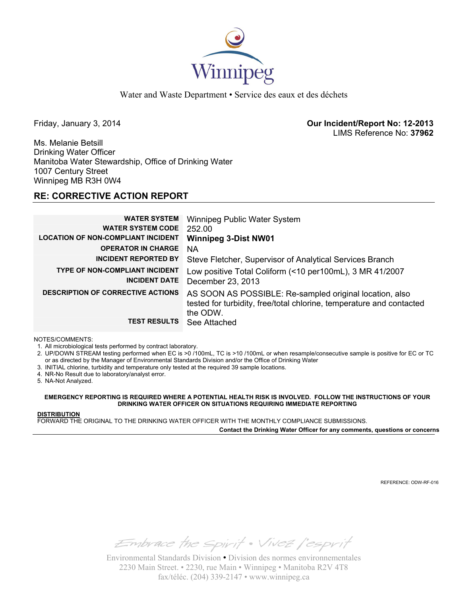

Water and Waste Department • Service des eaux et des déchets

Friday, January 3, 2014 **Our Incident/Report No: 12-2013**  LIMS Reference No: **37962**

Ms. Melanie Betsill Drinking Water Officer Manitoba Water Stewardship, Office of Drinking Water 1007 Century Street Winnipeg MB R3H 0W4

### **RE: CORRECTIVE ACTION REPORT**

| <b>WATER SYSTEM</b>                       | Winnipeg Public Water System                                         |
|-------------------------------------------|----------------------------------------------------------------------|
| <b>WATER SYSTEM CODE</b>                  | 252.00                                                               |
| <b>LOCATION OF NON-COMPLIANT INCIDENT</b> | <b>Winnipeg 3-Dist NW01</b>                                          |
| <b>OPERATOR IN CHARGE</b>                 | <b>NA</b>                                                            |
| <b>INCIDENT REPORTED BY</b>               | Steve Fletcher, Supervisor of Analytical Services Branch             |
| <b>TYPE OF NON-COMPLIANT INCIDENT</b>     | Low positive Total Coliform (<10 per100mL), 3 MR 41/2007             |
| <b>INCIDENT DATE</b>                      | December 23, 2013                                                    |
| <b>DESCRIPTION OF CORRECTIVE ACTIONS</b>  | AS SOON AS POSSIBLE: Re-sampled original location, also              |
|                                           | tested for turbidity, free/total chlorine, temperature and contacted |
|                                           | the ODW.                                                             |
| <b>TEST RESULTS</b>                       | See Attached                                                         |

NOTES/COMMENTS:

1. All microbiological tests performed by contract laboratory.

2. UP/DOWN STREAM testing performed when EC is >0 /100mL, TC is >10 /100mL or when resample/consecutive sample is positive for EC or TC or as directed by the Manager of Environmental Standards Division and/or the Office of Drinking Water

- 3. INITIAL chlorine, turbidity and temperature only tested at the required 39 sample locations.
- 4. NR-No Result due to laboratory/analyst error.

5. NA-Not Analyzed.

**EMERGENCY REPORTING IS REQUIRED WHERE A POTENTIAL HEALTH RISK IS INVOLVED. FOLLOW THE INSTRUCTIONS OF YOUR DRINKING WATER OFFICER ON SITUATIONS REQUIRING IMMEDIATE REPORTING**

#### **DISTRIBUTION**

FORWARD THE ORIGINAL TO THE DRINKING WATER OFFICER WITH THE MONTHLY COMPLIANCE SUBMISSIONS.

**Contact the Drinking Water Officer for any comments, questions or concerns**

REFERENCE: ODW-RF-016

Embrace the spirit . Vivez l'esprit

Environmental Standards Division • Division des normes environnementales 2230 Main Street. • 2230, rue Main • Winnipeg • Manitoba R2V 4T8 fax/téléc. (204) 339-2147 • www.winnipeg.ca